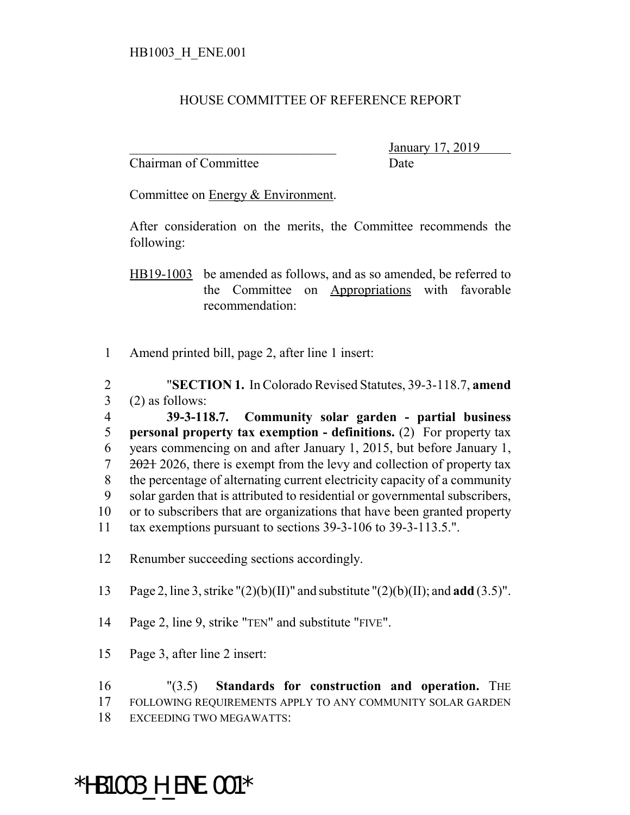## HOUSE COMMITTEE OF REFERENCE REPORT

Chairman of Committee Date

\_\_\_\_\_\_\_\_\_\_\_\_\_\_\_\_\_\_\_\_\_\_\_\_\_\_\_\_\_\_\_ January 17, 2019

Committee on Energy & Environment.

After consideration on the merits, the Committee recommends the following:

HB19-1003 be amended as follows, and as so amended, be referred to the Committee on Appropriations with favorable recommendation:

1 Amend printed bill, page 2, after line 1 insert:

2 "**SECTION 1.** In Colorado Revised Statutes, 39-3-118.7, **amend**  $3$  (2) as follows:

- 4 **39-3-118.7. Community solar garden partial business** 5 **personal property tax exemption - definitions.** (2) For property tax 6 years commencing on and after January 1, 2015, but before January 1,  $7 \frac{2021}{2026}$ , there is exempt from the levy and collection of property tax 8 the percentage of alternating current electricity capacity of a community 9 solar garden that is attributed to residential or governmental subscribers, 10 or to subscribers that are organizations that have been granted property 11 tax exemptions pursuant to sections 39-3-106 to 39-3-113.5.".
- 12 Renumber succeeding sections accordingly.
- 13 Page 2, line 3, strike "(2)(b)(II)" and substitute "(2)(b)(II); and **add** (3.5)".
- 14 Page 2, line 9, strike "TEN" and substitute "FIVE".
- 15 Page 3, after line 2 insert:

16 "(3.5) **Standards for construction and operation.** THE 17 FOLLOWING REQUIREMENTS APPLY TO ANY COMMUNITY SOLAR GARDEN 18 EXCEEDING TWO MEGAWATTS:

## \*HB1003\_H\_ENE.001\*